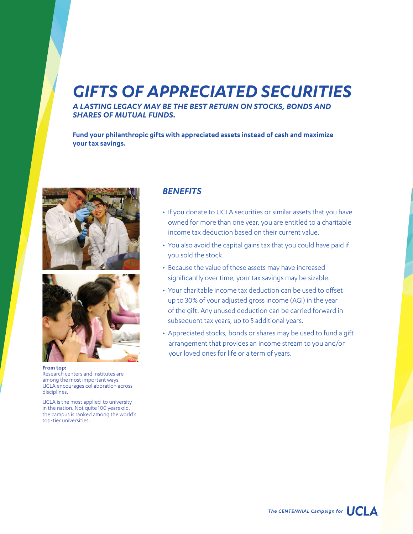## *GIFTS OF APPRECIATED SECURITIES*

*A LASTING LEGACY MAY BE THE BEST RETURN ON STOCKS, BONDS AND SHARES OF MUTUAL FUNDS.*

**Fund your philanthropic gifts with appreciated assets instead of cash and maximize your tax savings.**





**From top:**  Research centers and institutes are among the most important ways UCLA encourages collaboration across disciplines.

UCLA is the most applied-to university in the nation. Not quite 100 years old, the campus is ranked among the world's top-tier universities.

## *BENEFITS*

- If you donate to UCLA securities or similar assets that you have owned for more than one year, you are entitled to a charitable income tax deduction based on their current value.
- You also avoid the capital gains tax that you could have paid if you sold the stock.
- Because the value of these assets may have increased significantly over time, your tax savings may be sizable.
- Your charitable income tax deduction can be used to offset up to 30% of your adjusted gross income (AGI) in the year of the gift. Any unused deduction can be carried forward in subsequent tax years, up to 5 additional years.
- Appreciated stocks, bonds or shares may be used to fund a gift arrangement that provides an income stream to you and/or your loved ones for life or a term of years.

The CENTENNIAL Campaign for  $\bigcup C \bigcup \Delta$